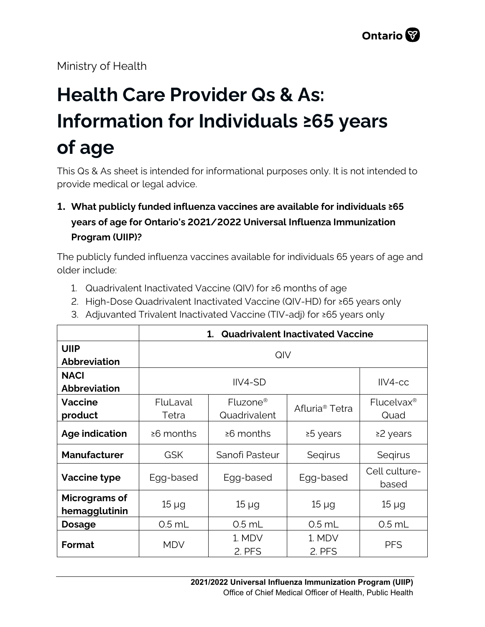Ministry of Health

# **Health Care Provider Qs & As: Information for Individuals ≥65 years of age**

This Qs & As sheet is intended for informational purposes only. It is not intended to provide medical or legal advice.

# **1. What publicly funded influenza vaccines are available for individuals ≥65 years of age for Ontario's 2021/2022 Universal Influenza Immunization Program (UIIP)?**

The publicly funded influenza vaccines available for individuals 65 years of age and older include:

- 1. Quadrivalent Inactivated Vaccine (QIV) for ≥6 months of age
- 2. High-Dose Quadrivalent Inactivated Vaccine (QIV-HD) for ≥65 years only
- 3. Adjuvanted Trivalent Inactivated Vaccine (TIV-adj) for ≥65 years only

|                                | <b>Quadrivalent Inactivated Vaccine</b><br>1. |                      |                            |                        |
|--------------------------------|-----------------------------------------------|----------------------|----------------------------|------------------------|
| <b>UIIP</b>                    | QIV                                           |                      |                            |                        |
| <b>Abbreviation</b>            |                                               |                      |                            |                        |
| <b>NACI</b>                    | $IIVA-SD$                                     |                      |                            | $IIVA-CC$              |
| <b>Abbreviation</b>            |                                               |                      |                            |                        |
| <b>Vaccine</b>                 | FluLaval                                      | Fluzone <sup>®</sup> | Afluria <sup>®</sup> Tetra | Flucelvax <sup>®</sup> |
| product                        | Tetra                                         | Quadrivalent         |                            | Quad                   |
| Age indication                 | $\geq 6$ months                               | $\geq 6$ months      | ≥5 years                   | ≥2 years               |
| <b>Manufacturer</b>            | <b>GSK</b>                                    | Sanofi Pasteur       | Segirus                    | Segirus                |
| Vaccine type                   | Egg-based                                     | Egg-based            | Egg-based                  | Cell culture-<br>based |
| Micrograms of<br>hemagglutinin | $15 \mu g$                                    | $15 \mu g$           | $15 \mu g$                 | $15 \mu g$             |
| <b>Dosage</b>                  | $0.5$ mL                                      | $0.5$ mL             | $0.5$ mL                   | $0.5$ mL               |
| <b>Format</b>                  | <b>MDV</b>                                    | 1. MDV<br>2. PFS     | 1. MDV<br>2. PFS           | <b>PFS</b>             |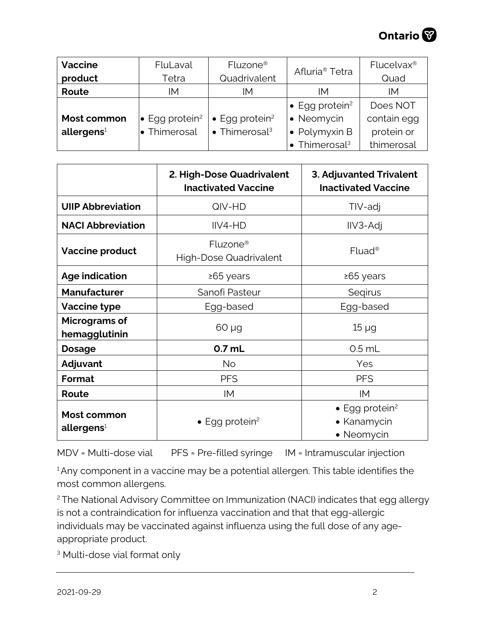

| <b>Vaccine</b>         | FluLaval                           | Fluzone <sup>®</sup>               | Afluria <sup>®</sup> Tetra         | Flucelvax <sup>®</sup> |
|------------------------|------------------------------------|------------------------------------|------------------------------------|------------------------|
| product                | Tetra                              | Quadrivalent                       |                                    | Quad                   |
| Route                  | IΜ                                 | IM                                 | IМ                                 | IМ                     |
|                        |                                    |                                    | $\bullet$ Egg protein <sup>2</sup> | Does NOT               |
| Most common            | $\bullet$ Egg protein <sup>2</sup> | $\bullet$ Egg protein <sup>2</sup> | • Neomycin                         | contain egg            |
| allergens <sup>1</sup> | • Thimerosal                       | $\bullet$ Thimerosal <sup>3</sup>  | $\bullet$ Polymyxin B              | protein or             |
|                        |                                    |                                    | $\bullet$ Thimerosal <sup>3</sup>  | thimerosal             |

|                                       | 2. High-Dose Quadrivalent<br><b>Inactivated Vaccine</b> | 3. Adjuvanted Trivalent<br><b>Inactivated Vaccine</b>           |
|---------------------------------------|---------------------------------------------------------|-----------------------------------------------------------------|
| <b>UIIP Abbreviation</b>              | QIV-HD                                                  | TIV-adj                                                         |
| <b>NACI Abbreviation</b>              | IIV4-HD                                                 | IIV3-Adj                                                        |
| <b>Vaccine product</b>                | Fluzone <sup>®</sup><br><b>High-Dose Quadrivalent</b>   | Fluad <sup>®</sup>                                              |
| <b>Age indication</b>                 | ≥65 years                                               | ≥65 years                                                       |
| <b>Manufacturer</b>                   | Sanofi Pasteur                                          | Seqirus                                                         |
| Vaccine type                          | Egg-based                                               | Egg-based                                                       |
| Micrograms of<br>hemagglutinin        | $60 \mu g$                                              | $15 \mu g$                                                      |
| <b>Dosage</b>                         | $0.7$ mL                                                | $0.5$ mL                                                        |
| Adjuvant                              | No.                                                     | Yes                                                             |
| Format                                | <b>PFS</b>                                              | <b>PFS</b>                                                      |
| Route                                 | IM                                                      | IM                                                              |
| Most common<br>allergens <sup>1</sup> | $\bullet$ Egg protein <sup>2</sup>                      | $\bullet$ Egg protein <sup>2</sup><br>• Kanamycin<br>• Neomycin |

MDV = Multi-dose vial PFS = Pre-filled syringe IM = Intramuscular injection

<sup>1</sup> Any component in a vaccine may be a potential allergen. This table identifies the most common allergens.

<sup>2</sup> The National Advisory Committee on Immunization (NACI) indicates that egg allergy is not a contraindication for influenza vaccination and that that egg-allergic individuals may be vaccinated against influenza using the full dose of any ageappropriate product.

<sup>3</sup> Multi-dose vial format only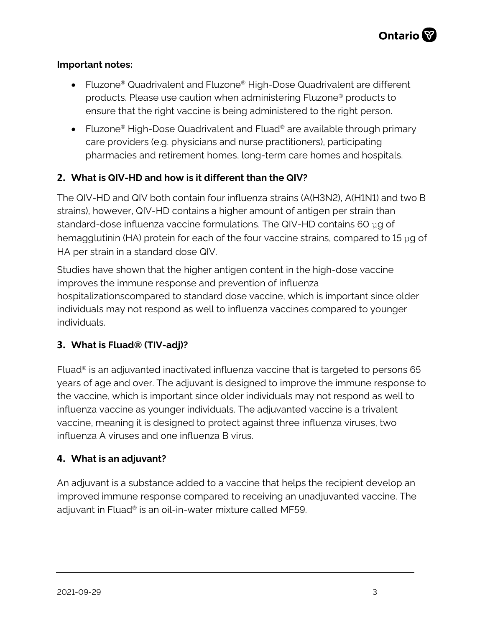#### **Important notes:**

- Fluzone® Quadrivalent and Fluzone® High-Dose Quadrivalent are different products. Please use caution when administering Fluzone® products to ensure that the right vaccine is being administered to the right person.
- Fluzone<sup>®</sup> High-Dose Quadrivalent and Fluad<sup>®</sup> are available through primary care providers (e.g. physicians and nurse practitioners), participating pharmacies and retirement homes, long-term care homes and hospitals.

## **2. What is QIV-HD and how is it different than the QIV?**

The QIV-HD and QIV both contain four influenza strains (A(H3N2), A(H1N1) and two B strains), however, QIV-HD contains a higher amount of antigen per strain than standard-dose influenza vaccine formulations. The QIV-HD contains 60  $\mu$ g of hemagglutinin (HA) protein for each of the four vaccine strains, compared to 15 μg of HA per strain in a standard dose QIV.

Studies have shown that the higher antigen content in the high-dose vaccine improves the immune response and prevention of influenza hospitalizationscompared to standard dose vaccine, which is important since older individuals may not respond as well to influenza vaccines compared to younger individuals.

#### **3. What is Fluad® (TIV-adj)?**

Fluad® is an adjuvanted inactivated influenza vaccine that is targeted to persons 65 years of age and over. The adjuvant is designed to improve the immune response to the vaccine, which is important since older individuals may not respond as well to influenza vaccine as younger individuals. The adjuvanted vaccine is a trivalent vaccine, meaning it is designed to protect against three influenza viruses, two influenza A viruses and one influenza B virus.

#### **4. What is an adjuvant?**

An adjuvant is a substance added to a vaccine that helps the recipient develop an improved immune response compared to receiving an unadjuvanted vaccine. The adjuvant in Fluad® is an oil-in-water mixture called MF59.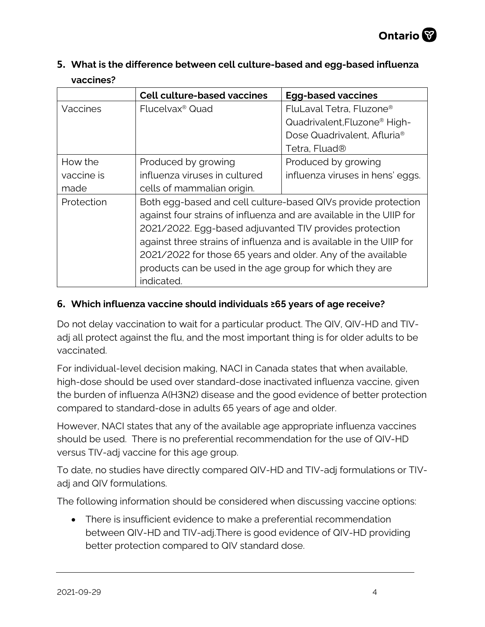| 5. What is the difference between cell culture-based and egg-based influenza |
|------------------------------------------------------------------------------|
| vaccines?                                                                    |

|            | <b>Cell culture-based vaccines</b>                                  | <b>Egg-based vaccines</b>                |  |
|------------|---------------------------------------------------------------------|------------------------------------------|--|
| Vaccines   | Flucelvax <sup>®</sup> Quad                                         | FluLaval Tetra, Fluzone <sup>®</sup>     |  |
|            |                                                                     | Quadrivalent, Fluzone <sup>®</sup> High- |  |
|            |                                                                     | Dose Quadrivalent, Afluria <sup>®</sup>  |  |
|            |                                                                     | Tetra, Fluad®                            |  |
| How the    | Produced by growing                                                 | Produced by growing                      |  |
| vaccine is | influenza viruses in cultured                                       | influenza viruses in hens' eggs.         |  |
| made       | cells of mammalian origin.                                          |                                          |  |
| Protection | Both egg-based and cell culture-based QIVs provide protection       |                                          |  |
|            | against four strains of influenza and are available in the UIIP for |                                          |  |
|            | 2021/2022. Egg-based adjuvanted TIV provides protection             |                                          |  |
|            | against three strains of influenza and is available in the UIIP for |                                          |  |
|            | 2021/2022 for those 65 years and older. Any of the available        |                                          |  |
|            | products can be used in the age group for which they are            |                                          |  |
|            | indicated.                                                          |                                          |  |

#### **6. Which influenza vaccine should individuals ≥65 years of age receive?**

Do not delay vaccination to wait for a particular product. The QIV, QIV-HD and TIVadj all protect against the flu, and the most important thing is for older adults to be vaccinated.

For individual-level decision making, NACI in Canada states that when available, high-dose should be used over standard-dose inactivated influenza vaccine, given the burden of influenza A(H3N2) disease and the good evidence of better protection compared to standard-dose in adults 65 years of age and older.

However, NACI states that any of the available age appropriate influenza vaccines should be used. There is no preferential recommendation for the use of QIV-HD versus TIV-adj vaccine for this age group.

To date, no studies have directly compared QIV-HD and TIV-adj formulations or TIVadj and QIV formulations.

The following information should be considered when discussing vaccine options:

• There is insufficient evidence to make a preferential recommendation between QIV-HD and TIV-adj.There is good evidence of QIV-HD providing better protection compared to QIV standard dose.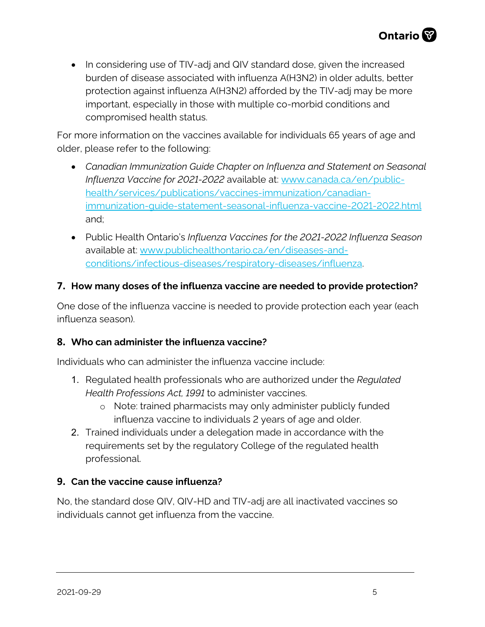• In considering use of TIV-adj and QIV standard dose, given the increased burden of disease associated with influenza A(H3N2) in older adults, better protection against influenza A(H3N2) afforded by the TIV-adj may be more important, especially in those with multiple co-morbid conditions and compromised health status.

For more information on the vaccines available for individuals 65 years of age and older, please refer to the following:

- *Canadian Immunization Guide Chapter on Influenza and Statement on Seasonal Influenza Vaccine for 2021-2022* available at: [www.canada.ca/en/public](http://www.canada.ca/en/public-health/services/publications/vaccines-immunization/canadian-immunization-guide-statement-seasonal-influenza-vaccine-2021-2022.html)[health/services/publications/vaccines-immunization/canadian](http://www.canada.ca/en/public-health/services/publications/vaccines-immunization/canadian-immunization-guide-statement-seasonal-influenza-vaccine-2021-2022.html)[immunization-guide-statement-seasonal-influenza-vaccine-2021-2022.html](http://www.canada.ca/en/public-health/services/publications/vaccines-immunization/canadian-immunization-guide-statement-seasonal-influenza-vaccine-2021-2022.html)  and;
- Public Health Ontario's *Influenza Vaccines for the 2021-2022 Influenza Season* available at: [www.publichealthontario.ca/en/diseases-and](http://www.publichealthontario.ca/en/diseases-and-conditions/infectious-diseases/respiratory-diseases/influenza)[conditions/infectious-diseases/respiratory-diseases/influenza.](http://www.publichealthontario.ca/en/diseases-and-conditions/infectious-diseases/respiratory-diseases/influenza)

## **7. How many doses of the influenza vaccine are needed to provide protection?**

One dose of the influenza vaccine is needed to provide protection each year (each influenza season).

#### **8. Who can administer the influenza vaccine?**

Individuals who can administer the influenza vaccine include:

- 1. Regulated health professionals who are authorized under the *Regulated Health Professions Act, 1991* to administer vaccines.
	- o Note: trained pharmacists may only administer publicly funded influenza vaccine to individuals 2 years of age and older.
- 2. Trained individuals under a delegation made in accordance with the requirements set by the regulatory College of the regulated health professional.

#### **9. Can the vaccine cause influenza?**

No, the standard dose QIV, QIV-HD and TIV-adj are all inactivated vaccines so individuals cannot get influenza from the vaccine.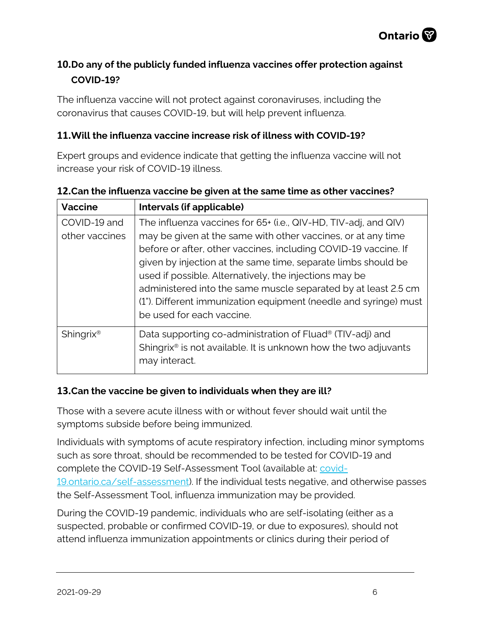

# **10.Do any of the publicly funded influenza vaccines offer protection against COVID-19?**

The influenza vaccine will not protect against coronaviruses, including the coronavirus that causes COVID-19, but will help prevent influenza.

#### **11.Will the influenza vaccine increase risk of illness with COVID-19?**

Expert groups and evidence indicate that getting the influenza vaccine will not increase your risk of COVID-19 illness.

| <b>Vaccine</b>        | Intervals (if applicable)                                                   |
|-----------------------|-----------------------------------------------------------------------------|
| COVID-19 and          | The influenza vaccines for 65+ (i.e., QIV-HD, TIV-adj, and QIV)             |
| other vaccines        | may be given at the same with other vaccines, or at any time                |
|                       | before or after, other vaccines, including COVID-19 vaccine. If             |
|                       | given by injection at the same time, separate limbs should be               |
|                       | used if possible. Alternatively, the injections may be                      |
|                       | administered into the same muscle separated by at least 2.5 cm              |
|                       | (1"). Different immunization equipment (needle and syringe) must            |
|                       | be used for each vaccine.                                                   |
| Shingrix <sup>®</sup> | Data supporting co-administration of Fluad <sup>®</sup> (TIV-adj) and       |
|                       | Shingrix <sup>®</sup> is not available. It is unknown how the two adjuvants |
|                       | may interact.                                                               |

## **12.Can the influenza vaccine be given at the same time as other vaccines?**

## **13.Can the vaccine be given to individuals when they are ill?**

Those with a severe acute illness with or without fever should wait until the symptoms subside before being immunized.

Individuals with symptoms of acute respiratory infection, including minor symptoms such as sore throat, should be recommended to be tested for COVID-19 and complete the COVID-19 Self-Assessment Tool (available at: [covid-](http://covid-19.ontario.ca/self-assessment)[19.ontario.ca/self-assessment\)](http://covid-19.ontario.ca/self-assessment). If the individual tests negative, and otherwise passes the Self-Assessment Tool, influenza immunization may be provided.

During the COVID-19 pandemic, individuals who are self-isolating (either as a suspected, probable or confirmed COVID-19, or due to exposures), should not attend influenza immunization appointments or clinics during their period of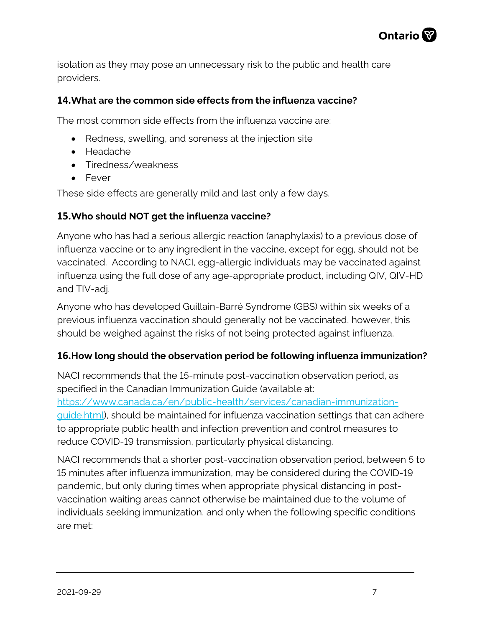

isolation as they may pose an unnecessary risk to the public and health care providers.

#### **14.What are the common side effects from the influenza vaccine?**

The most common side effects from the influenza vaccine are:

- Redness, swelling, and soreness at the injection site
- Headache
- Tiredness/weakness
- Fever

These side effects are generally mild and last only a few days.

#### **15.Who should NOT get the influenza vaccine?**

Anyone who has had a serious allergic reaction (anaphylaxis) to a previous dose of influenza vaccine or to any ingredient in the vaccine, except for egg, should not be vaccinated. According to NACI, egg-allergic individuals may be vaccinated against influenza using the full dose of any age-appropriate product, including QIV, QIV-HD and TIV-adj.

Anyone who has developed Guillain-Barré Syndrome (GBS) within six weeks of a previous influenza vaccination should generally not be vaccinated, however, this should be weighed against the risks of not being protected against influenza.

#### **16.How long should the observation period be following influenza immunization?**

NACI recommends that the 15-minute post-vaccination observation period, as specified in the Canadian Immunization Guide (available at:

[https://www.canada.ca/en/public-health/services/canadian-immunization](https://www.canada.ca/en/public-health/services/canadian-immunization-guide.html)[guide.html\)](https://www.canada.ca/en/public-health/services/canadian-immunization-guide.html), should be maintained for influenza vaccination settings that can adhere to appropriate public health and infection prevention and control measures to reduce COVID-19 transmission, particularly physical distancing.

NACI recommends that a shorter post-vaccination observation period, between 5 to 15 minutes after influenza immunization, may be considered during the COVID-19 pandemic, but only during times when appropriate physical distancing in postvaccination waiting areas cannot otherwise be maintained due to the volume of individuals seeking immunization, and only when the following specific conditions are met: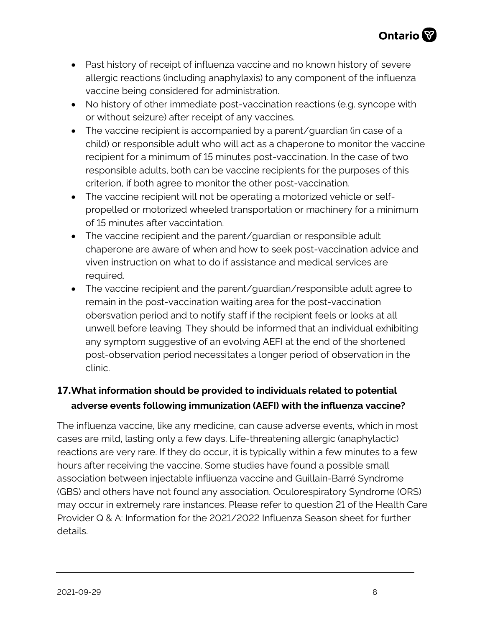- Past history of receipt of influenza vaccine and no known history of severe allergic reactions (including anaphylaxis) to any component of the influenza vaccine being considered for administration.
- No history of other immediate post-vaccination reactions (e.g. syncope with or without seizure) after receipt of any vaccines.
- The vaccine recipient is accompanied by a parent/guardian (in case of a child) or responsible adult who will act as a chaperone to monitor the vaccine recipient for a minimum of 15 minutes post-vaccination. In the case of two responsible adults, both can be vaccine recipients for the purposes of this criterion, if both agree to monitor the other post-vaccination.
- The vaccine recipient will not be operating a motorized vehicle or selfpropelled or motorized wheeled transportation or machinery for a minimum of 15 minutes after vaccintation.
- The vaccine recipient and the parent/quardian or responsible adult chaperone are aware of when and how to seek post-vaccination advice and viven instruction on what to do if assistance and medical services are required.
- The vaccine recipient and the parent/guardian/responsible adult agree to remain in the post-vaccination waiting area for the post-vaccination obersvation period and to notify staff if the recipient feels or looks at all unwell before leaving. They should be informed that an individual exhibiting any symptom suggestive of an evolving AEFI at the end of the shortened post-observation period necessitates a longer period of observation in the clinic.

# **17.What information should be provided to individuals related to potential adverse events following immunization (AEFI) with the influenza vaccine?**

The influenza vaccine, like any medicine, can cause adverse events, which in most cases are mild, lasting only a few days. Life-threatening allergic (anaphylactic) reactions are very rare. If they do occur, it is typically within a few minutes to a few hours after receiving the vaccine. Some studies have found a possible small association between injectable infliuenza vaccine and Guillain-Barré Syndrome (GBS) and others have not found any association. Oculorespiratory Syndrome (ORS) may occur in extremely rare instances. Please refer to question 21 of the Health Care Provider Q & A: Information for the 2021/2022 Influenza Season sheet for further details.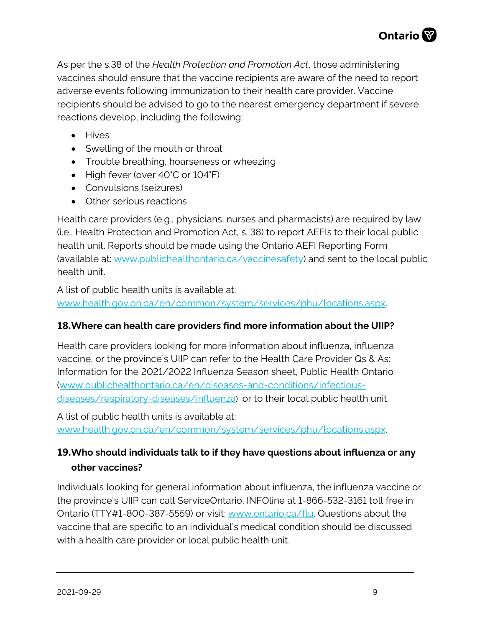As per the s.38 of the *Health Protection and Promotion Act*, those administering vaccines should ensure that the vaccine recipients are aware of the need to report adverse events following immunization to their health care provider. Vaccine recipients should be advised to go to the nearest emergency department if severe reactions develop, including the following:

- Hives
- Swelling of the mouth or throat
- Trouble breathing, hoarseness or wheezing
- High fever (over 40°C or 104°F)
- Convulsions (seizures)
- Other serious reactions

Health care providers (e.g., physicians, nurses and pharmacists) are required by law (i.e., Health Protection and Promotion Act, s. 38) to report AEFIs to their local public health unit. Reports should be made using the Ontario AEFI Reporting Form (available at: [www.publichealthontario.ca/vaccinesafety\)](http://www.publichealthontario.ca/vaccinesafety) and sent to the local public health unit.

A list of public health units is available at: [www.health.gov.on.ca/en/common/system/services/phu/locations.aspx.](http://www.health.gov.on.ca/en/common/system/services/phu/locations.aspx)

#### **18.Where can health care providers find more information about the UIIP?**

Health care providers looking for more information about influenza, influenza vaccine, or the province's UIIP can refer to the Health Care Provider Qs & As: Information for the 2021/2022 Influenza Season sheet, Public Health Ontario [\(www.publichealthontario.ca/en/diseases-and-conditions/infectious](http://www.publichealthontario.ca/en/diseases-and-conditions/infectious-diseases/respiratory-diseases/influenza)[diseases/respiratory-diseases/influenza\)](http://www.publichealthontario.ca/en/diseases-and-conditions/infectious-diseases/respiratory-diseases/influenza) or to their local public health unit.

A list of public health units is available at: [www.health.gov.on.ca/en/common/system/services/phu/locations.aspx.](http://www.health.gov.on.ca/en/common/system/services/phu/locations.aspx)

# **19.Who should individuals talk to if they have questions about influenza or any other vaccines?**

Individuals looking for general information about influenza, the influenza vaccine or the province's UIIP can call ServiceOntario, INFOline at 1-866-532-3161 toll free in Ontario (TTY#1-800-387-5559) or visit: [www.ontario.ca/flu.](http://ontario.ca/flu) Questions about the vaccine that are specific to an individual's medical condition should be discussed with a health care provider or local public health unit.